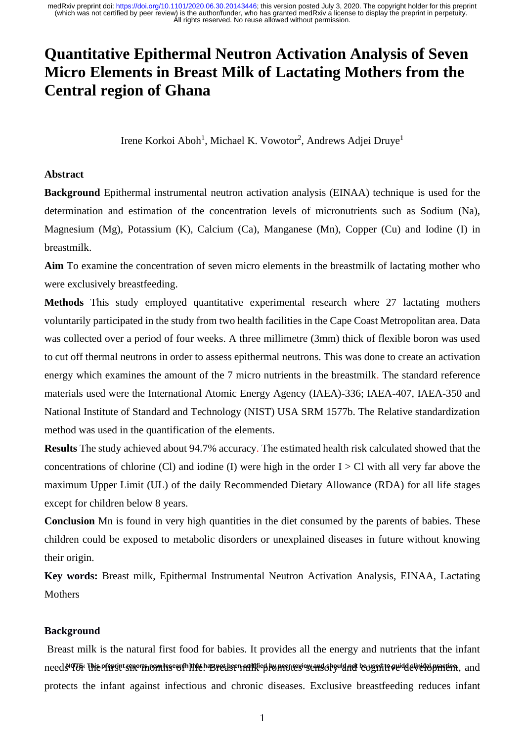# **Quantitative Epithermal Neutron Activation Analysis of Seven Micro Elements in Breast Milk of Lactating Mothers from the Central region of Ghana**

Irene Korkoi Aboh<sup>1</sup>, Michael K. Vowotor<sup>2</sup>, Andrews Adjei Druye<sup>1</sup>

## **Abstract**

**Background** Epithermal instrumental neutron activation analysis (EINAA) technique is used for the determination and estimation of the concentration levels of micronutrients such as Sodium (Na), Magnesium (Mg), Potassium (K), Calcium (Ca), Manganese (Mn), Copper (Cu) and Iodine (I) in breastmilk.

**Aim** To examine the concentration of seven micro elements in the breastmilk of lactating mother who were exclusively breastfeeding.

**Methods** This study employed quantitative experimental research where 27 lactating mothers voluntarily participated in the study from two health facilities in the Cape Coast Metropolitan area. Data was collected over a period of four weeks. A three millimetre (3mm) thick of flexible boron was used to cut off thermal neutrons in order to assess epithermal neutrons. This was done to create an activation energy which examines the amount of the 7 micro nutrients in the breastmilk. The standard reference materials used were the International Atomic Energy Agency (IAEA)-336; IAEA-407, IAEA-350 and National Institute of Standard and Technology (NIST) USA SRM 1577b. The Relative standardization method was used in the quantification of the elements.

**Results** The study achieved about 94.7% accuracy. The estimated health risk calculated showed that the concentrations of chlorine (Cl) and iodine (I) were high in the order  $I > Cl$  with all very far above the maximum Upper Limit (UL) of the daily Recommended Dietary Allowance (RDA) for all life stages except for children below 8 years.

**Conclusion** Mn is found in very high quantities in the diet consumed by the parents of babies. These children could be exposed to metabolic disorders or unexplained diseases in future without knowing their origin.

**Key words:** Breast milk, Epithermal Instrumental Neutron Activation Analysis, EINAA, Lactating **Mothers** 

## **Background**

Breast milk is the natural first food for babies. It provides all the energy and nutrients that the infant needs 975f The Pfipsirt sinorman Iisearch line. Brethsen milliep hymiotexievens on y land beven in geide ived pmittin, and protects the infant against infectious and chronic diseases. Exclusive breastfeeding reduces infant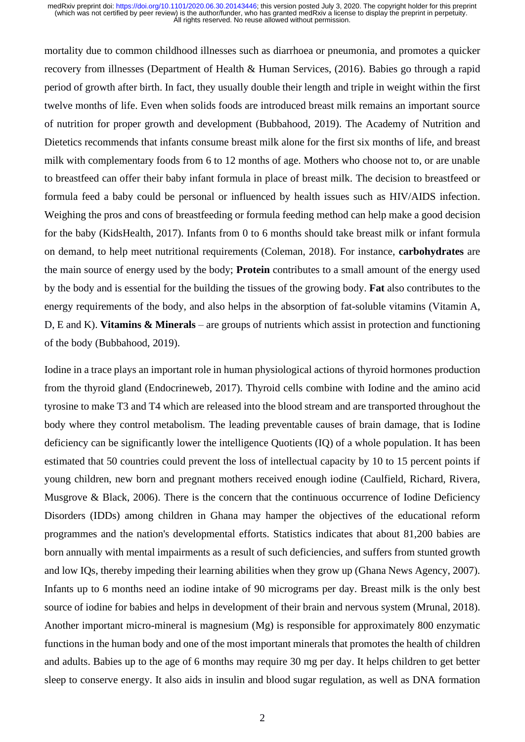mortality due to common childhood illnesses such as diarrhoea or pneumonia, and promotes a quicker recovery from illnesses (Department of Health & Human Services, (2016). Babies go through a rapid period of growth after birth. In fact, they usually double their length and triple in weight within the first twelve months of life. Even when solids foods are introduced breast milk remains an important source of nutrition for proper growth and development (Bubbahood, 2019). The Academy of Nutrition and Dietetics recommends that infants consume breast milk alone for the first six months of life, and breast milk with complementary foods from 6 to 12 months of age. Mothers who choose not to, or are unable to breastfeed can offer their baby infant formula in place of breast milk. The decision to breastfeed or formula feed a baby could be personal or influenced by health issues such as HIV/AIDS infection. Weighing the pros and cons of breastfeeding or formula feeding method can help make a good decision for the baby (KidsHealth, 2017). Infants from 0 to 6 months should take breast milk or infant formula on demand, to help meet nutritional requirements (Coleman, 2018). For instance, **carbohydrates** are the main source of energy used by the body; **Protein** contributes to a small amount of the energy used by the body and is essential for the building the tissues of the growing body. **Fat** also contributes to the energy requirements of the body, and also helps in the absorption of fat-soluble vitamins (Vitamin A, D, E and K). **Vitamins & Minerals** – are groups of nutrients which assist in protection and functioning of the body (Bubbahood, 2019).

Iodine in a trace plays an important role in human physiological actions of thyroid hormones production from the thyroid gland (Endocrineweb, 2017). Thyroid cells combine with Iodine and the amino acid tyrosine to make T3 and T4 which are released into the blood stream and are transported throughout the body where they control metabolism. The leading preventable causes of brain damage, that is Iodine deficiency can be significantly lower the intelligence Quotients (IQ) of a whole population. It has been estimated that 50 countries could prevent the loss of intellectual capacity by 10 to 15 percent points if young children, new born and pregnant mothers received enough iodine (Caulfield, Richard, Rivera, Musgrove & Black, 2006). There is the concern that the continuous occurrence of Iodine Deficiency Disorders (IDDs) among children in Ghana may hamper the objectives of the educational reform programmes and the nation's developmental efforts. Statistics indicates that about 81,200 babies are born annually with mental impairments as a result of such deficiencies, and suffers from stunted growth and low IQs, thereby impeding their learning abilities when they grow up (Ghana News Agency, 2007). Infants up to 6 months need an iodine intake of 90 micrograms per day. Breast milk is the only best source of iodine for babies and helps in development of their brain and nervous system (Mrunal, 2018). Another important micro-mineral is magnesium (Mg) is responsible for approximately 800 enzymatic functions in the human body and one of the most important minerals that promotes the health of children and adults. Babies up to the age of 6 months may require 30 mg per day. It helps children to get better sleep to conserve energy. It also aids in insulin and blood sugar regulation, as well as DNA formation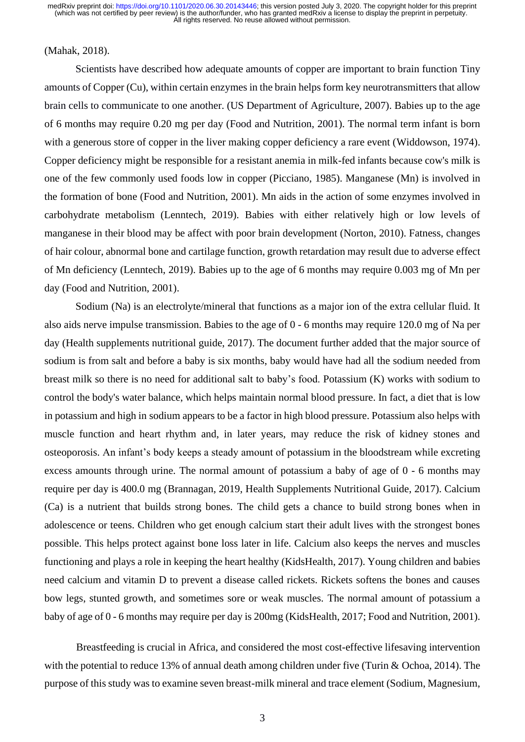## (Mahak, 2018).

Scientists have described how adequate amounts of copper are important to brain function Tiny amounts of Copper (Cu), within certain enzymes in the brain helps form key neurotransmitters that allow brain cells to communicate to one another. (US Department of Agriculture, 2007). Babies up to the age of 6 months may require 0.20 mg per day (Food and Nutrition, 2001). The normal term infant is born with a generous store of copper in the liver making copper deficiency a rare event (Widdowson, 1974). Copper deficiency might be responsible for a resistant anemia in milk-fed infants because cow's milk is one of the few commonly used foods low in copper (Picciano, 1985). Manganese (Mn) is involved in the formation of bone (Food and Nutrition, 2001). Mn aids in the action of some enzymes involved in carbohydrate metabolism (Lenntech, 2019). Babies with either relatively high or low levels of manganese in their blood may be affect with poor brain development (Norton, 2010). Fatness, changes of hair colour, abnormal bone and cartilage function, growth retardation may result due to adverse effect of Mn deficiency (Lenntech, 2019). Babies up to the age of 6 months may require 0.003 mg of Mn per day (Food and Nutrition, 2001).

Sodium (Na) is an electrolyte/mineral that functions as a major ion of the extra cellular fluid. It also aids nerve impulse transmission. Babies to the age of 0 - 6 months may require 120.0 mg of Na per day (Health supplements nutritional guide, 2017). The document further added that the major source of sodium is from salt and before a baby is six months, baby would have had all the sodium needed from breast milk so there is no need for additional salt to baby's food. Potassium (K) works with sodium to control the body's water balance, which helps maintain normal blood pressure. In fact, a diet that is low in potassium and high in sodium appears to be a factor in high blood pressure. Potassium also helps with muscle function and heart rhythm and, in later years, may reduce the risk of kidney stones and osteoporosis. An infant's body keeps a steady amount of potassium in the bloodstream while excreting excess amounts through urine. The normal amount of potassium a baby of age of 0 - 6 months may require per day is 400.0 mg (Brannagan, 2019, Health Supplements Nutritional Guide, 2017). Calcium (Ca) is a nutrient that builds strong bones. The child gets a chance to build strong bones when in adolescence or teens. Children who get enough calcium start their adult lives with the strongest bones possible. This helps protect against bone loss later in life. Calcium also keeps the nerves and muscles functioning and plays a role in keeping the heart healthy (KidsHealth, 2017). Young children and babies need calcium and vitamin D to prevent a disease called rickets. Rickets softens the bones and causes bow legs, stunted growth, and sometimes sore or weak muscles. The normal amount of potassium a baby of age of 0 - 6 months may require per day is 200mg (KidsHealth, 2017; Food and Nutrition, 2001).

Breastfeeding is crucial in Africa, and considered the most cost-effective lifesaving intervention with the potential to reduce 13% of annual death among children under five (Turin & Ochoa, 2014). The purpose of this study was to examine seven breast-milk mineral and trace element (Sodium, Magnesium,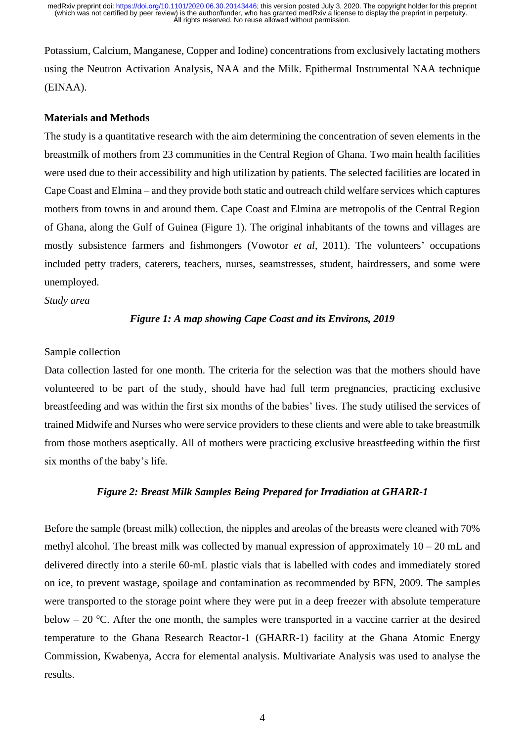Potassium, Calcium, Manganese, Copper and Iodine) concentrations from exclusively lactating mothers using the Neutron Activation Analysis, NAA and the Milk. Epithermal Instrumental NAA technique (EINAA).

## **Materials and Methods**

The study is a quantitative research with the aim determining the concentration of seven elements in the breastmilk of mothers from 23 communities in the Central Region of Ghana. Two main health facilities were used due to their accessibility and high utilization by patients. The selected facilities are located in Cape Coast and Elmina – and they provide both static and outreach child welfare services which captures mothers from towns in and around them. Cape Coast and Elmina are metropolis of the Central Region of Ghana, along the Gulf of Guinea (Figure 1). The original inhabitants of the towns and villages are mostly subsistence farmers and fishmongers (Vowotor *et al*, 2011). The volunteers' occupations included petty traders, caterers, teachers, nurses, seamstresses, student, hairdressers, and some were unemployed.

## *Study area*

# *Figure 1: A map showing Cape Coast and its Environs, 2019*

# Sample collection

Data collection lasted for one month. The criteria for the selection was that the mothers should have volunteered to be part of the study, should have had full term pregnancies, practicing exclusive breastfeeding and was within the first six months of the babies' lives. The study utilised the services of trained Midwife and Nurses who were service providers to these clients and were able to take breastmilk from those mothers aseptically. All of mothers were practicing exclusive breastfeeding within the first six months of the baby's life.

## *Figure 2: Breast Milk Samples Being Prepared for Irradiation at GHARR-1*

Before the sample (breast milk) collection, the nipples and areolas of the breasts were cleaned with 70% methyl alcohol. The breast milk was collected by manual expression of approximately  $10 - 20$  mL and delivered directly into a sterile 60-mL plastic vials that is labelled with codes and immediately stored on ice, to prevent wastage, spoilage and contamination as recommended by BFN, 2009. The samples were transported to the storage point where they were put in a deep freezer with absolute temperature below – 20  $^{\circ}$ C. After the one month, the samples were transported in a vaccine carrier at the desired temperature to the Ghana Research Reactor-1 (GHARR-1) facility at the Ghana Atomic Energy Commission, Kwabenya, Accra for elemental analysis. Multivariate Analysis was used to analyse the results.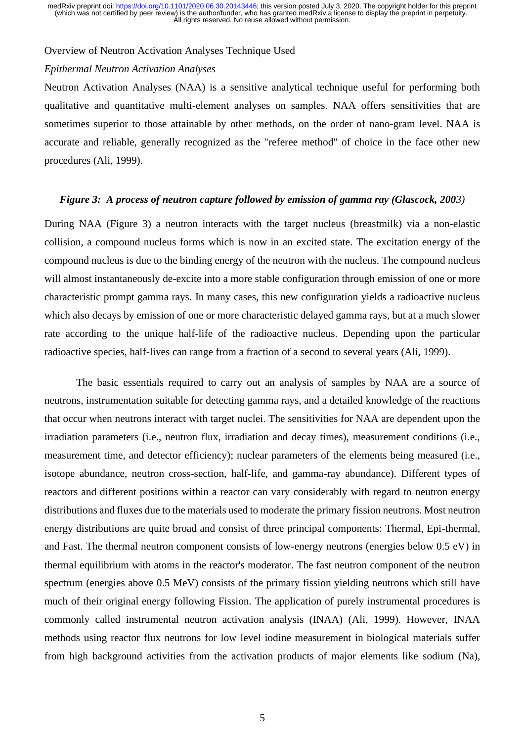#### Overview of Neutron Activation Analyses Technique Used

#### *Epithermal Neutron Activation Analyses*

Neutron Activation Analyses (NAA) is a sensitive analytical technique useful for performing both qualitative and quantitative multi-element analyses on samples. NAA offers sensitivities that are sometimes superior to those attainable by other methods, on the order of nano-gram level. NAA is accurate and reliable, generally recognized as the "referee method" of choice in the face other new procedures (Ali, 1999).

## *Figure 3: A process of neutron capture followed by emission of gamma ray (Glascock, 2003)*

During NAA (Figure 3) a neutron interacts with the target nucleus (breastmilk) via a non-elastic collision, a compound nucleus forms which is now in an excited state. The excitation energy of the compound nucleus is due to the binding energy of the neutron with the nucleus. The compound nucleus will almost instantaneously de-excite into a more stable configuration through emission of one or more characteristic prompt gamma rays. In many cases, this new configuration yields a radioactive nucleus which also decays by emission of one or more characteristic delayed gamma rays, but at a much slower rate according to the unique half-life of the radioactive nucleus. Depending upon the particular radioactive species, half-lives can range from a fraction of a second to several years (Ali, 1999).

The basic essentials required to carry out an analysis of samples by NAA are a source of neutrons, instrumentation suitable for detecting gamma rays, and a detailed knowledge of the reactions that occur when neutrons interact with target nuclei. The sensitivities for NAA are dependent upon the irradiation parameters (i.e., neutron flux, irradiation and decay times), measurement conditions (i.e., measurement time, and detector efficiency); nuclear parameters of the elements being measured (i.e., isotope abundance, neutron cross-section, half-life, and gamma-ray abundance). Different types of reactors and different positions within a reactor can vary considerably with regard to neutron energy distributions and fluxes due to the materials used to moderate the primary fission neutrons. Most neutron energy distributions are quite broad and consist of three principal components: Thermal, Epi-thermal, and Fast. The thermal neutron component consists of low-energy neutrons (energies below 0.5 eV) in thermal equilibrium with atoms in the reactor's moderator. The fast neutron component of the neutron spectrum (energies above 0.5 MeV) consists of the primary fission yielding neutrons which still have much of their original energy following Fission. The application of purely instrumental procedures is commonly called instrumental neutron activation analysis (INAA) (Ali, 1999). However, INAA methods using reactor flux neutrons for low level iodine measurement in biological materials suffer from high background activities from the activation products of major elements like sodium (Na),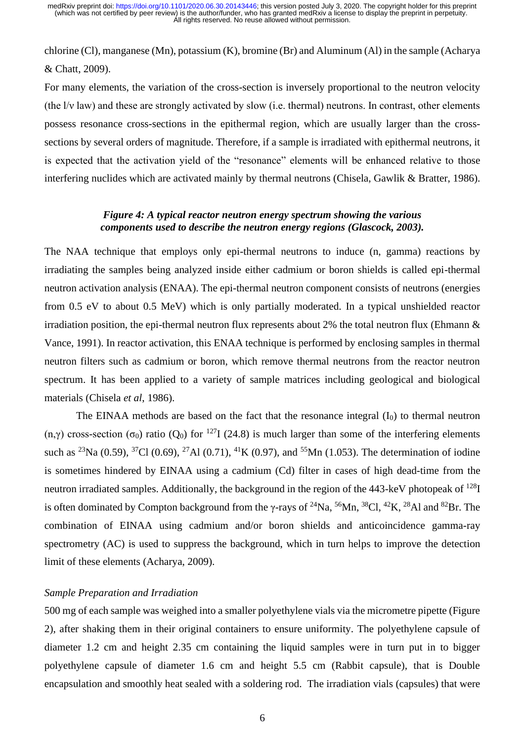chlorine (Cl), manganese (Mn), potassium (K), bromine (Br) and Aluminum (Al) in the sample (Acharya & Chatt, 2009).

For many elements, the variation of the cross-section is inversely proportional to the neutron velocity (the l/ν law) and these are strongly activated by slow (i.e. thermal) neutrons. In contrast, other elements possess resonance cross-sections in the epithermal region, which are usually larger than the crosssections by several orders of magnitude. Therefore, if a sample is irradiated with epithermal neutrons, it is expected that the activation yield of the "resonance" elements will be enhanced relative to those interfering nuclides which are activated mainly by thermal neutrons (Chisela, Gawlik & Bratter, 1986).

## *Figure 4: A typical reactor neutron energy spectrum showing the various components used to describe the neutron energy regions (Glascock, 2003).*

The NAA technique that employs only epi-thermal neutrons to induce (n, gamma) reactions by irradiating the samples being analyzed inside either cadmium or boron shields is called epi-thermal neutron activation analysis (ENAA). The epi-thermal neutron component consists of neutrons (energies from 0.5 eV to about 0.5 MeV) which is only partially moderated. In a typical unshielded reactor irradiation position, the epi-thermal neutron flux represents about 2% the total neutron flux (Ehmann & Vance, 1991). In reactor activation, this ENAA technique is performed by enclosing samples in thermal neutron filters such as cadmium or boron, which remove thermal neutrons from the reactor neutron spectrum. It has been applied to a variety of sample matrices including geological and biological materials (Chisela *et al*, 1986).

The EINAA methods are based on the fact that the resonance integral  $(I_0)$  to thermal neutron (n,γ) cross-section ( $\sigma_0$ ) ratio (Q<sub>0</sub>) for <sup>127</sup>I (24.8) is much larger than some of the interfering elements such as <sup>23</sup>Na (0.59), <sup>37</sup>Cl (0.69), <sup>27</sup>Al (0.71), <sup>41</sup>K (0.97), and <sup>55</sup>Mn (1.053). The determination of iodine is sometimes hindered by EINAA using a cadmium (Cd) filter in cases of high dead-time from the neutron irradiated samples. Additionally, the background in the region of the 443-keV photopeak of <sup>128</sup>I is often dominated by Compton background from the γ-rays of <sup>24</sup>Na, <sup>56</sup>Mn, <sup>38</sup>Cl, <sup>42</sup>K, <sup>28</sup>Al and <sup>82</sup>Br. The combination of EINAA using cadmium and/or boron shields and anticoincidence gamma-ray spectrometry (AC) is used to suppress the background, which in turn helps to improve the detection limit of these elements (Acharya, 2009).

# *Sample Preparation and Irradiation*

500 mg of each sample was weighed into a smaller polyethylene vials via the micrometre pipette (Figure 2), after shaking them in their original containers to ensure uniformity. The polyethylene capsule of diameter 1.2 cm and height 2.35 cm containing the liquid samples were in turn put in to bigger polyethylene capsule of diameter 1.6 cm and height 5.5 cm (Rabbit capsule), that is Double encapsulation and smoothly heat sealed with a soldering rod. The irradiation vials (capsules) that were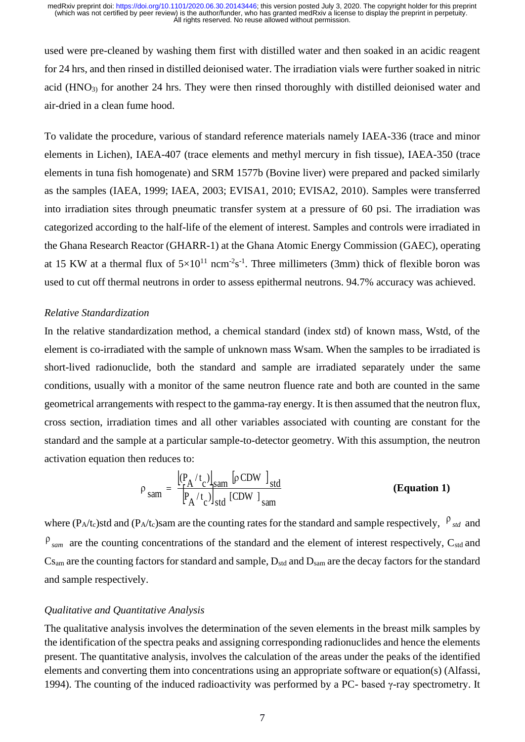used were pre-cleaned by washing them first with distilled water and then soaked in an acidic reagent for 24 hrs, and then rinsed in distilled deionised water. The irradiation vials were further soaked in nitric acid (HNO<sub>3)</sub> for another 24 hrs. They were then rinsed thoroughly with distilled deionised water and air-dried in a clean fume hood.

To validate the procedure, various of standard reference materials namely IAEA-336 (trace and minor elements in Lichen), IAEA-407 (trace elements and methyl mercury in fish tissue), IAEA-350 (trace elements in tuna fish homogenate) and SRM 1577b (Bovine liver) were prepared and packed similarly as the samples (IAEA, 1999; IAEA, 2003; EVISA1, 2010; EVISA2, 2010). Samples were transferred into irradiation sites through pneumatic transfer system at a pressure of 60 psi. The irradiation was categorized according to the half-life of the element of interest. Samples and controls were irradiated in the Ghana Research Reactor (GHARR-1) at the Ghana Atomic Energy Commission (GAEC), operating at 15 KW at a thermal flux of  $5\times10^{11}$  ncm<sup>-2</sup>s<sup>-1</sup>. Three millimeters (3mm) thick of flexible boron was used to cut off thermal neutrons in order to assess epithermal neutrons. 94.7% accuracy was achieved.

# *Relative Standardization*

In the relative standardization method, a chemical standard (index std) of known mass, Wstd, of the element is co-irradiated with the sample of unknown mass Wsam. When the samples to be irradiated is short-lived radionuclide, both the standard and sample are irradiated separately under the same conditions, usually with a monitor of the same neutron fluence rate and both are counted in the same geometrical arrangements with respect to the gamma-ray energy. It is then assumed that the neutron flux, cross section, irradiation times and all other variables associated with counting are constant for the standard and the sample at a particular sample-to-detector geometry. With this assumption, the neutron activation equation then reduces to:

$$
\rho_{\text{sam}} = \frac{\left[\frac{P_A / t_c}{P_A / t_c}\right]_{\text{sam}} \left[\rho \text{CDW}\right]_{\text{std}}}{\left[\frac{P_A / t_c}{P_A / t_c}\right]_{\text{std}} \left[\text{CDW}\right]_{\text{sam}}}
$$
\n(Equation 1)

where  $(P_A/t_c)$ std and  $(P_A/t_c)$ sam are the counting rates for the standard and sample respectively,  $P_{std}$  and  $\rho_{\text{sam}}$  are the counting concentrations of the standard and the element of interest respectively,  $C_{\text{std}}$  and  $Cs<sub>am</sub>$  are the counting factors for standard and sample,  $D_{std}$  and  $D_{sam}$  are the decay factors for the standard and sample respectively.

#### *Qualitative and Quantitative Analysis*

The qualitative analysis involves the determination of the seven elements in the breast milk samples by the identification of the spectra peaks and assigning corresponding radionuclides and hence the elements present. The quantitative analysis, involves the calculation of the areas under the peaks of the identified elements and converting them into concentrations using an appropriate software or equation(s) (Alfassi, 1994). The counting of the induced radioactivity was performed by a PC- based γ-ray spectrometry. It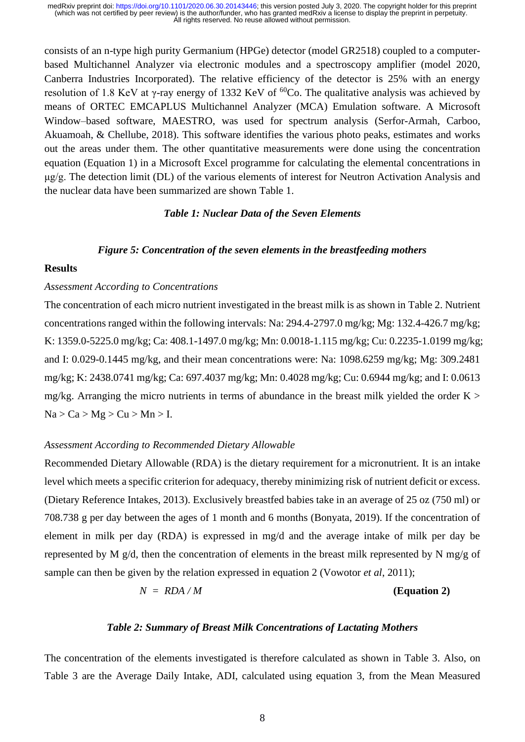consists of an n-type high purity Germanium (HPGe) detector (model GR2518) coupled to a computerbased Multichannel Analyzer via electronic modules and a spectroscopy amplifier (model 2020, Canberra Industries Incorporated). The relative efficiency of the detector is 25% with an energy resolution of 1.8 KeV at γ-ray energy of 1332 KeV of  ${}^{60}Co$ . The qualitative analysis was achieved by means of ORTEC EMCAPLUS Multichannel Analyzer (MCA) Emulation software. A Microsoft Window–based software, MAESTRO, was used for spectrum analysis (Serfor-Armah, Carboo, Akuamoah, & Chellube, 2018). This software identifies the various photo peaks, estimates and works out the areas under them. The other quantitative measurements were done using the concentration equation (Equation 1) in a Microsoft Excel programme for calculating the elemental concentrations in μg/g. The detection limit (DL) of the various elements of interest for Neutron Activation Analysis and the nuclear data have been summarized are shown Table 1.

## *Table 1: Nuclear Data of the Seven Elements*

#### *Figure 5: Concentration of the seven elements in the breastfeeding mothers*

## **Results**

# *Assessment According to Concentrations*

The concentration of each micro nutrient investigated in the breast milk is as shown in Table 2. Nutrient concentrations ranged within the following intervals: Na: 294.4-2797.0 mg/kg; Mg: 132.4-426.7 mg/kg; K: 1359.0-5225.0 mg/kg; Ca: 408.1-1497.0 mg/kg; Mn: 0.0018-1.115 mg/kg; Cu: 0.2235-1.0199 mg/kg; and I: 0.029-0.1445 mg/kg, and their mean concentrations were: Na: 1098.6259 mg/kg; Mg: 309.2481 mg/kg; K: 2438.0741 mg/kg; Ca: 697.4037 mg/kg; Mn: 0.4028 mg/kg; Cu: 0.6944 mg/kg; and I: 0.0613 mg/kg. Arranging the micro nutrients in terms of abundance in the breast milk yielded the order  $K >$  $Na > Ca > Mg > Cu > Mn > I$ .

#### *Assessment According to Recommended Dietary Allowable*

Recommended Dietary Allowable (RDA) is the dietary requirement for a micronutrient. It is an intake level which meets a specific criterion for adequacy, thereby minimizing risk of nutrient deficit or excess. (Dietary Reference Intakes, 2013). Exclusively breastfed babies take in an average of 25 oz (750 ml) or 708.738 g per day between the ages of 1 month and 6 months (Bonyata, 2019). If the concentration of element in milk per day (RDA) is expressed in mg/d and the average intake of milk per day be represented by M  $g/d$ , then the concentration of elements in the breast milk represented by N mg/g of sample can then be given by the relation expressed in equation 2 (Vowotor *et al*, 2011);

 $N = RDA/M$  (Equation 2)

#### *Table 2: Summary of Breast Milk Concentrations of Lactating Mothers*

The concentration of the elements investigated is therefore calculated as shown in Table 3. Also, on Table 3 are the Average Daily Intake, ADI, calculated using equation 3, from the Mean Measured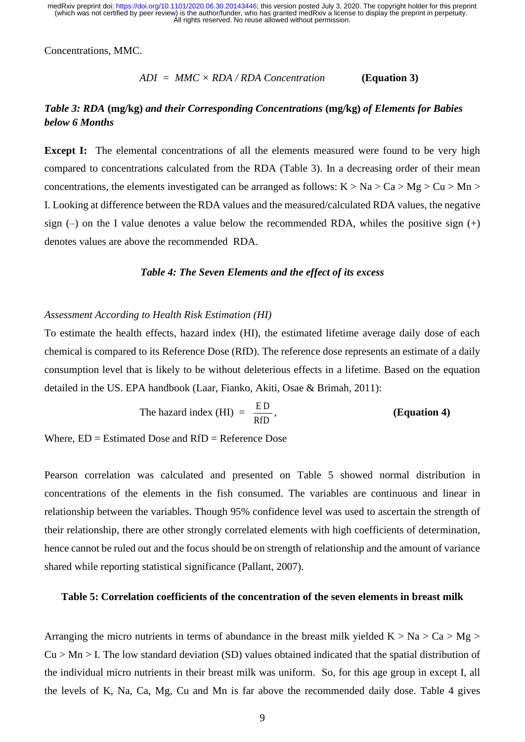Concentrations, MMC.

#### *ADI = MMC × RDA / RDA Concentration* **(Equation 3)**

# *Table 3: RDA* **(mg/kg)** *and their Corresponding Concentrations* **(mg/kg)** *of Elements for Babies below 6 Months*

**Except I:** The elemental concentrations of all the elements measured were found to be very high compared to concentrations calculated from the RDA (Table 3). In a decreasing order of their mean concentrations, the elements investigated can be arranged as follows:  $K > Na > Ca > Mg > Cu > Mn >$ I. Looking at difference between the RDA values and the measured/calculated RDA values, the negative sign  $(-)$  on the I value denotes a value below the recommended RDA, whiles the positive sign  $(+)$ denotes values are above the recommended RDA.

#### *Table 4: The Seven Elements and the effect of its excess*

# *Assessment According to Health Risk Estimation (HI)*

To estimate the health effects, hazard index (HI), the estimated lifetime average daily dose of each chemical is compared to its Reference Dose (RfD). The reference dose represents an estimate of a daily consumption level that is likely to be without deleterious effects in a lifetime. Based on the equation detailed in the US. EPA handbook (Laar, Fianko, Akiti, Osae & Brimah, 2011):

The hazard index (HI) = 
$$
\frac{ED}{RfD}
$$
, (Equation 4)

Where,  $ED = Estimated$  Dose and  $RfD = Reference$  Dose

Pearson correlation was calculated and presented on Table 5 showed normal distribution in concentrations of the elements in the fish consumed. The variables are continuous and linear in relationship between the variables. Though 95% confidence level was used to ascertain the strength of their relationship, there are other strongly correlated elements with high coefficients of determination, hence cannot be ruled out and the focus should be on strength of relationship and the amount of variance shared while reporting statistical significance (Pallant, 2007).

# **Table 5: Correlation coefficients of the concentration of the seven elements in breast milk**

Arranging the micro nutrients in terms of abundance in the breast milk yielded  $K > Na > Ca > Mg >$  $Cu > Mn > I$ . The low standard deviation (SD) values obtained indicated that the spatial distribution of the individual micro nutrients in their breast milk was uniform. So, for this age group in except I, all the levels of K, Na, Ca, Mg, Cu and Mn is far above the recommended daily dose. Table 4 gives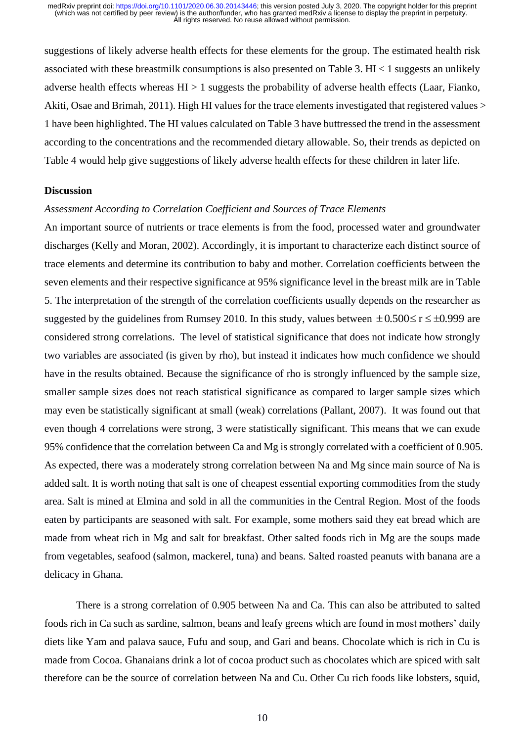suggestions of likely adverse health effects for these elements for the group. The estimated health risk associated with these breastmilk consumptions is also presented on Table 3.  $\text{HI} < 1$  suggests an unlikely adverse health effects whereas  $H1 > 1$  suggests the probability of adverse health effects (Laar, Fianko, Akiti, Osae and Brimah, 2011). High HI values for the trace elements investigated that registered values > 1 have been highlighted. The HI values calculated on Table 3 have buttressed the trend in the assessment according to the concentrations and the recommended dietary allowable. So, their trends as depicted on Table 4 would help give suggestions of likely adverse health effects for these children in later life.

## **Discussion**

#### *Assessment According to Correlation Coefficient and Sources of Trace Elements*

An important source of nutrients or trace elements is from the food, processed water and groundwater discharges (Kelly and Moran, 2002). Accordingly, it is important to characterize each distinct source of trace elements and determine its contribution to baby and mother. Correlation coefficients between the seven elements and their respective significance at 95% significance level in the breast milk are in Table 5. The interpretation of the strength of the correlation coefficients usually depends on the researcher as suggested by the guidelines from Rumsey 2010. In this study, values between  $\pm 0.500 \le r \le \pm 0.999$  are considered strong correlations. The level of statistical significance that does not indicate how strongly two variables are associated (is given by rho), but instead it indicates how much confidence we should have in the results obtained. Because the significance of rho is strongly influenced by the sample size, smaller sample sizes does not reach statistical significance as compared to larger sample sizes which may even be statistically significant at small (weak) correlations (Pallant, 2007). It was found out that even though 4 correlations were strong, 3 were statistically significant. This means that we can exude 95% confidence that the correlation between Ca and Mg is strongly correlated with a coefficient of 0.905. As expected, there was a moderately strong correlation between Na and Mg since main source of Na is added salt. It is worth noting that salt is one of cheapest essential exporting commodities from the study area. Salt is mined at Elmina and sold in all the communities in the Central Region. Most of the foods eaten by participants are seasoned with salt. For example, some mothers said they eat bread which are made from wheat rich in Mg and salt for breakfast. Other salted foods rich in Mg are the soups made from vegetables, seafood (salmon, mackerel, tuna) and beans. Salted roasted peanuts with banana are a delicacy in Ghana.

There is a strong correlation of 0.905 between Na and Ca. This can also be attributed to salted foods rich in Ca such as sardine, salmon, beans and leafy greens which are found in most mothers' daily diets like Yam and palava sauce, Fufu and soup, and Gari and beans. Chocolate which is rich in Cu is made from Cocoa. Ghanaians drink a lot of cocoa product such as chocolates which are spiced with salt therefore can be the source of correlation between Na and Cu. Other Cu rich foods like lobsters, squid,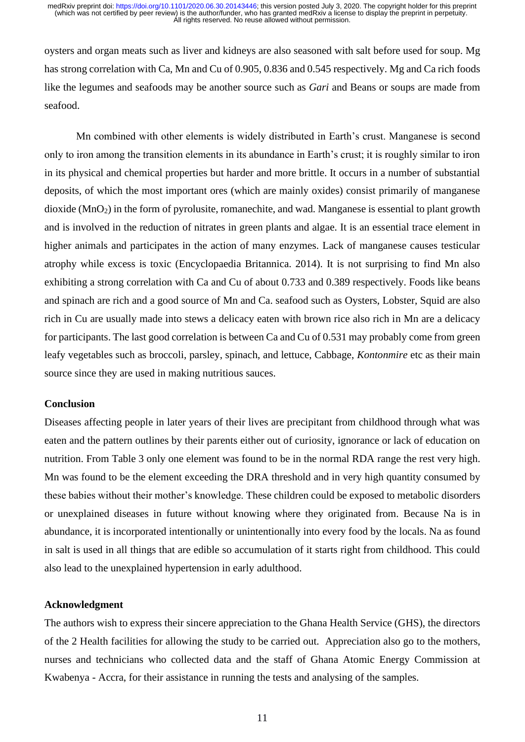oysters and organ meats such as liver and kidneys are also seasoned with salt before used for soup. Mg has strong correlation with Ca, Mn and Cu of 0.905, 0.836 and 0.545 respectively. Mg and Ca rich foods like the legumes and seafoods may be another source such as *Gari* and Beans or soups are made from seafood.

Mn combined with other elements is widely distributed in Earth's crust. Manganese is second only to iron among the transition elements in its abundance in Earth's crust; it is roughly similar to iron in its physical and chemical properties but harder and more brittle. It occurs in a number of substantial deposits, of which the most important ores (which are mainly oxides) consist primarily of manganese dioxide (MnO2) in the form of pyrolusite, romanechite, and wad. Manganese is essential to plant growth and is involved in the reduction of nitrates in green plants and algae. It is an essential trace element in higher animals and participates in the action of many enzymes. Lack of manganese causes testicular atrophy while excess is toxic (Encyclopaedia Britannica. 2014). It is not surprising to find Mn also exhibiting a strong correlation with Ca and Cu of about 0.733 and 0.389 respectively. Foods like beans and spinach are rich and a good source of Mn and Ca. seafood such as Oysters, Lobster, Squid are also rich in Cu are usually made into stews a delicacy eaten with brown rice also rich in Mn are a delicacy for participants. The last good correlation is between Ca and Cu of 0.531 may probably come from green leafy vegetables such as broccoli, parsley, spinach, and lettuce, Cabbage, *Kontonmire* etc as their main source since they are used in making nutritious sauces.

# **Conclusion**

Diseases affecting people in later years of their lives are precipitant from childhood through what was eaten and the pattern outlines by their parents either out of curiosity, ignorance or lack of education on nutrition. From Table 3 only one element was found to be in the normal RDA range the rest very high. Mn was found to be the element exceeding the DRA threshold and in very high quantity consumed by these babies without their mother's knowledge. These children could be exposed to metabolic disorders or unexplained diseases in future without knowing where they originated from. Because Na is in abundance, it is incorporated intentionally or unintentionally into every food by the locals. Na as found in salt is used in all things that are edible so accumulation of it starts right from childhood. This could also lead to the unexplained hypertension in early adulthood.

# **Acknowledgment**

The authors wish to express their sincere appreciation to the Ghana Health Service (GHS), the directors of the 2 Health facilities for allowing the study to be carried out. Appreciation also go to the mothers, nurses and technicians who collected data and the staff of Ghana Atomic Energy Commission at Kwabenya - Accra, for their assistance in running the tests and analysing of the samples.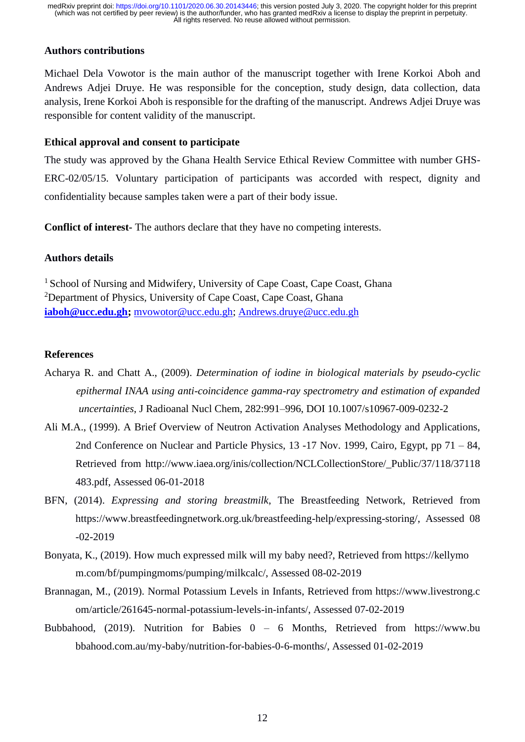# **Authors contributions**

Michael Dela Vowotor is the main author of the manuscript together with Irene Korkoi Aboh and Andrews Adjei Druye. He was responsible for the conception, study design, data collection, data analysis, Irene Korkoi Aboh is responsible for the drafting of the manuscript. Andrews Adjei Druye was responsible for content validity of the manuscript.

# **Ethical approval and consent to participate**

The study was approved by the Ghana Health Service Ethical Review Committee with number GHS-ERC-02/05/15. Voluntary participation of participants was accorded with respect, dignity and confidentiality because samples taken were a part of their body issue.

**Conflict of interest-** The authors declare that they have no competing interests.

# **Authors details**

<sup>1</sup> School of Nursing and Midwifery, University of Cape Coast, Cape Coast, Ghana <sup>2</sup>Department of Physics, University of Cape Coast, Cape Coast, Ghana **[iaboh@ucc.edu.gh;](mailto:iaboh@ucc.edu.gh)** [mvowotor@ucc.edu.gh;](mailto:mvowotor@ucc.edu.gh) [Andrews.druye@ucc.edu.gh](mailto:Andrews.druye@ucc.edu.gh)

# **References**

- Acharya R. and Chatt A., (2009). *Determination of iodine in biological materials by pseudo-cyclic epithermal INAA using anti-coincidence gamma-ray spectrometry and estimation of expanded uncertainties*, J Radioanal Nucl Chem, 282:991–996, DOI 10.1007/s10967-009-0232-2
- Ali M.A., (1999). A Brief Overview of Neutron Activation Analyses Methodology and Applications, 2nd Conference on Nuclear and Particle Physics, 13 -17 Nov. 1999, Cairo, Egypt, pp 71 – 84, Retrieved from http://www.iaea.org/inis/collection/NCLCollectionStore/\_Public/37/118/37118 483.pdf, Assessed 06-01-2018
- BFN, (2014). *Expressing and storing breastmilk*, The Breastfeeding Network, Retrieved from https://www.breastfeedingnetwork.org.uk/breastfeeding-help/expressing-storing/, Assessed 08 -02-2019
- Bonyata, K., (2019). How much expressed milk will my baby need?, Retrieved from https://kellymo m.com/bf/pumpingmoms/pumping/milkcalc/, Assessed 08-02-2019
- Brannagan, M., (2019). Normal Potassium Levels in Infants, Retrieved from https://www.livestrong.c om/article/261645-normal-potassium-levels-in-infants/, Assessed 07-02-2019
- Bubbahood, (2019). Nutrition for Babies  $0 6$  Months, Retrieved from https://www.bu bbahood.com.au/my-baby/nutrition-for-babies-0-6-months/, Assessed 01-02-2019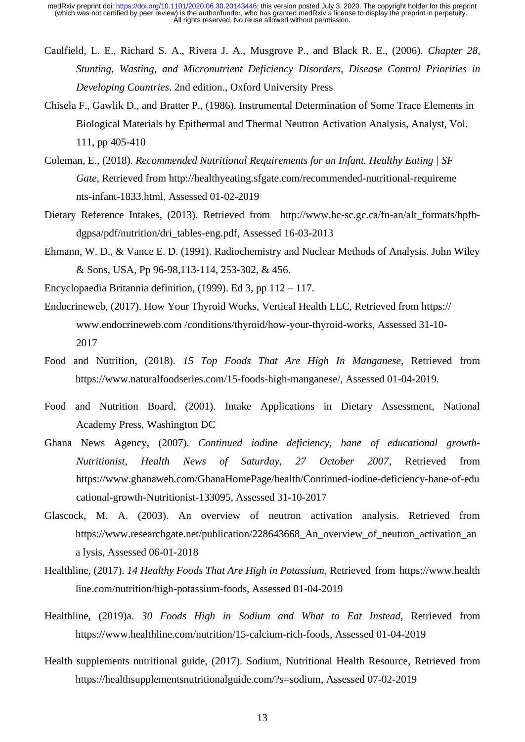- Caulfield, L. E., Richard S. A., Rivera J. A., Musgrove P., and Black R. E., (2006). *Chapter 28, Stunting, Wasting, and Micronutrient Deficiency Disorders, Disease Control Priorities in Developing Countries*. 2nd edition., Oxford University Press
- Chisela F., Gawlik D., and Bratter P., (1986). Instrumental Determination of Some Trace Elements in Biological Materials by Epithermal and Thermal Neutron Activation Analysis, Analyst, Vol. 111, pp 405-410
- Coleman, E., (2018). *Recommended Nutritional Requirements for an Infant. Healthy Eating | SF Gate*, Retrieved from http://healthyeating.sfgate.com/recommended-nutritional-requireme nts-infant-1833.html, Assessed 01-02-2019
- Dietary Reference Intakes, (2013). Retrieved from http://www.hc-sc.gc.ca/fn-an/alt\_formats/hpfbdgpsa/pdf/nutrition/dri\_tables-eng.pdf, Assessed 16-03-2013
- Ehmann, W. D., & Vance E. D. (1991). Radiochemistry and Nuclear Methods of Analysis. John Wiley & Sons, USA, Pp 96-98,113-114, 253-302, & 456.
- Encyclopaedia Britannia definition, (1999). Ed 3, pp 112 117.
- Endocrineweb, (2017). How Your Thyroid Works, Vertical Health LLC, Retrieved from https:// www.endocrineweb.com /conditions/thyroid/how-your-thyroid-works, Assessed 31-10- 2017
- Food and Nutrition, (2018). *15 Top Foods That Are High In Manganese,* Retrieved from https://www.naturalfoodseries.com/15-foods-high-manganese/, Assessed 01-04-2019.
- Food and Nutrition Board, (2001). Intake Applications in Dietary Assessment, National Academy Press, Washington DC
- Ghana News Agency, (2007). *Continued iodine deficiency, bane of educational growth-Nutritionist, Health News of Saturday, 27 October 2007*, Retrieved from https://www.ghanaweb.com/GhanaHomePage/health/Continued-iodine-deficiency-bane-of-edu cational-growth-Nutritionist-133095, Assessed 31-10-2017
- Glascock, M. A. (2003). An overview of neutron activation analysis. Retrieved from https://www.researchgate.net/publication/228643668\_An\_overview\_of\_neutron\_activation\_an a lysis, Assessed 06-01-2018
- Healthline, (2017). *14 Healthy Foods That Are High in Potassium,* Retrieved from https://www.health line.com/nutrition/high-potassium-foods, Assessed 01-04-2019
- Healthline, (2019)a. *30 Foods High in Sodium and What to Eat Instead,* Retrieved from https://www.healthline.com/nutrition/15-calcium-rich-foods, Assessed 01-04-2019
- Health supplements nutritional guide, (2017). Sodium, Nutritional Health Resource, Retrieved from https://healthsupplementsnutritionalguide.com/?s=sodium, Assessed 07-02-2019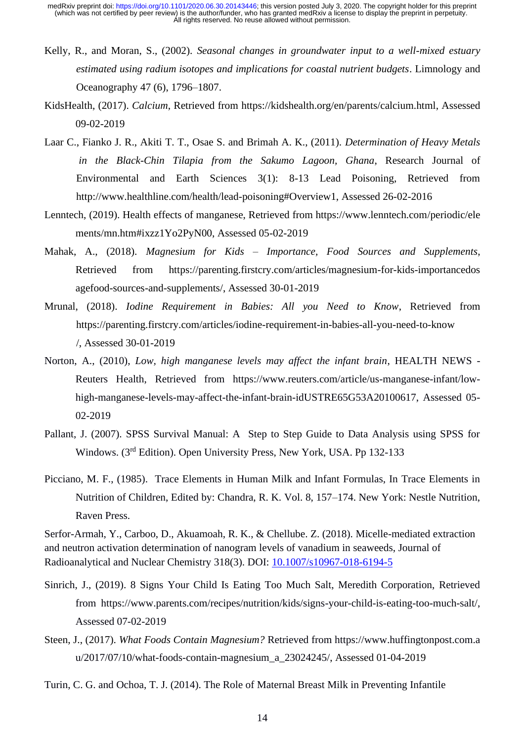- Kelly, R., and Moran, S., (2002). *Seasonal changes in groundwater input to a well-mixed estuary estimated using radium isotopes and implications for coastal nutrient budgets*. Limnology and Oceanography 47 (6), 1796–1807.
- KidsHealth, (2017). *Calcium*, Retrieved from https://kidshealth.org/en/parents/calcium.html, Assessed 09-02-2019
- Laar C., Fianko J. R., Akiti T. T., Osae S. and Brimah A. K., (2011). *Determination of Heavy Metals in the Black-Chin Tilapia from the Sakumo Lagoon, Ghana*, Research Journal of Environmental and Earth Sciences 3(1): 8-13 Lead Poisoning, Retrieved from http://www.healthline.com/health/lead-poisoning#Overview1, Assessed 26-02-2016
- Lenntech, (2019). Health effects of manganese, Retrieved from https://www.lenntech.com/periodic/ele ments/mn.htm#ixzz1Yo2PyN00, Assessed 05-02-2019
- Mahak, A., (2018). *Magnesium for Kids – Importance, Food Sources and Supplements*, Retrieved from https://parenting.firstcry.com/articles/magnesium-for-kids-importancedos agefood-sources-and-supplements/, Assessed 30-01-2019
- Mrunal, (2018). *Iodine Requirement in Babies: All you Need to Know*, Retrieved from https://parenting.firstcry.com/articles/iodine-requirement-in-babies-all-you-need-to-know /, Assessed 30-01-2019
- Norton, A., (2010), *Low, high manganese levels may affect the infant brain*, HEALTH NEWS Reuters Health, Retrieved from https://www.reuters.com/article/us-manganese-infant/lowhigh-manganese-levels-may-affect-the-infant-brain-idUSTRE65G53A20100617, Assessed 05- 02-2019
- Pallant, J. (2007). SPSS Survival Manual: A Step to Step Guide to Data Analysis using SPSS for Windows. (3rd Edition). Open University Press, New York, USA. Pp 132-133
- Picciano, M. F., (1985). Trace Elements in Human Milk and Infant Formulas, In Trace Elements in Nutrition of Children, Edited by: Chandra, R. K. Vol. 8, 157–174. New York: Nestle Nutrition, Raven Press.

Serfor-Armah, Y., Carboo, D., Akuamoah, R. K., & Chellube. Z. (2018). Micelle-mediated extraction and neutron activation determination of nanogram levels of vanadium in seaweeds, Journal of Radioanalytical and Nuclear Chemistry 318(3). DOI: [10.1007/s10967-018-6194-5](https://www.researchgate.net/deref/http%3A%2F%2Fdx.doi.org%2F10.1007%2Fs10967-018-6194-5?_sg%5B0%5D=0fzSR3nJNWjGtm58spcCQl6Yq2wUilA-3E3RwadSJuEBzzMAHnEJnwnGGe9PkAdd7AWXIhW3_Kj5mgtM5mJws3aTbQ.uKURYINrrvelHtoSgM-_bWBsnZ-zjCji3WsJG237dXIXKTj745VLnNQt5KjbfShlbMmo_8B912OulZsgex19Xg)

- Sinrich, J., (2019). 8 Signs Your Child Is Eating Too Much Salt, Meredith Corporation, Retrieved from https://www.parents.com/recipes/nutrition/kids/signs-your-child-is-eating-too-much-salt/, Assessed 07-02-2019
- Steen, J., (2017). *What Foods Contain Magnesium?* Retrieved from https://www.huffingtonpost.com.a u/2017/07/10/what-foods-contain-magnesium\_a\_23024245/, Assessed 01-04-2019
- Turin, C. G. and Ochoa, T. J. (2014). The Role of Maternal Breast Milk in Preventing Infantile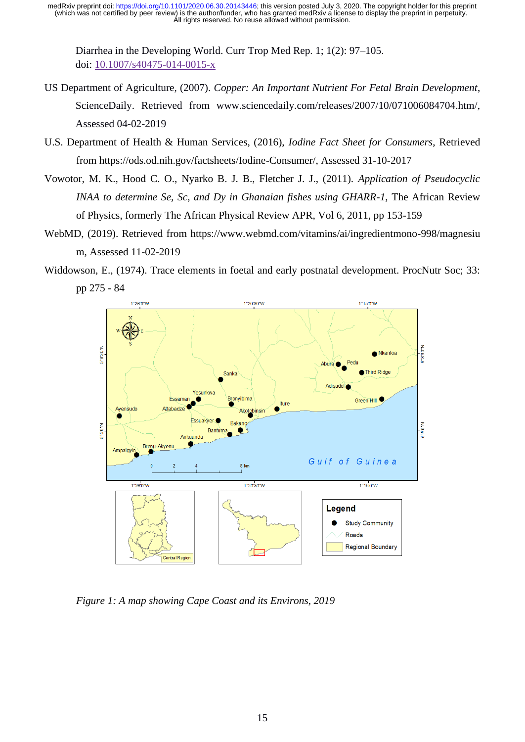Diarrhea in the Developing World. Curr Trop Med Rep. 1; 1(2): 97–105. doi: 10.1007/s40475-014-0015-x

- US Department of Agriculture, (2007). *Copper: An Important Nutrient For Fetal Brain Development*, ScienceDaily. Retrieved from www.sciencedaily.com/releases/2007/10/071006084704.htm/, Assessed 04-02-2019
- U.S. Department of Health & Human Services, (2016), *Iodine Fact Sheet for Consumers*, Retrieved from https://ods.od.nih.gov/factsheets/Iodine-Consumer/, Assessed 31-10-2017
- Vowotor, M. K., Hood C. O., Nyarko B. J. B., Fletcher J. J., (2011). *Application of Pseudocyclic INAA to determine Se, Sc, and Dy in Ghanaian fishes using GHARR-1*, The African Review of Physics, formerly The African Physical Review APR, Vol 6, 2011, pp 153-159
- WebMD, (2019). Retrieved from https://www.webmd.com/vitamins/ai/ingredientmono-998/magnesiu m, Assessed 11-02-2019
- Widdowson, E., (1974). Trace elements in foetal and early postnatal development. ProcNutr Soc; 33: pp 275 - 84



*Figure 1: A map showing Cape Coast and its Environs, 2019*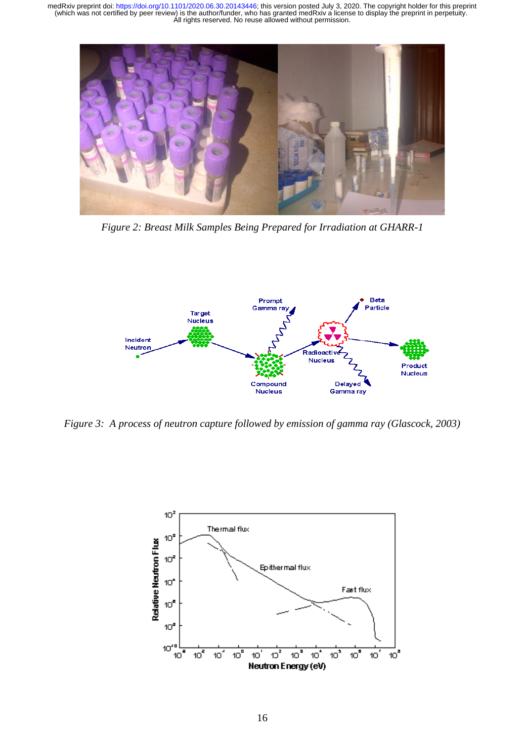

*Figure 2: Breast Milk Samples Being Prepared for Irradiation at GHARR-1*



*Figure 3: A process of neutron capture followed by emission of gamma ray (Glascock, 2003)*

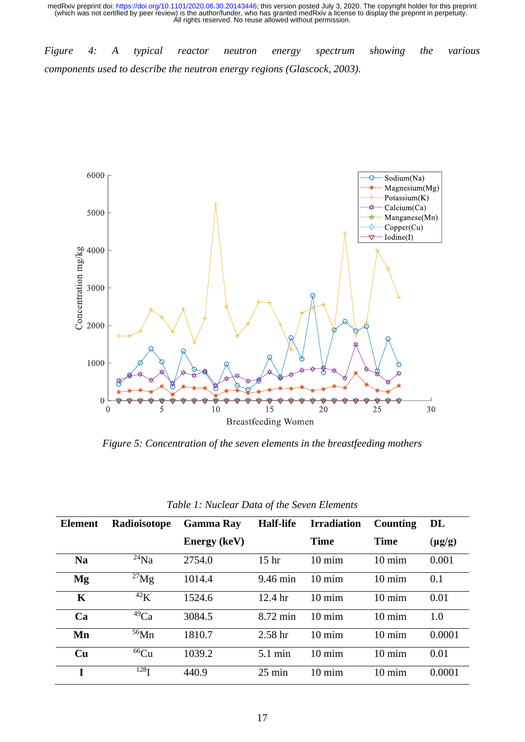*Figure 4: A typical reactor neutron energy spectrum showing the various components used to describe the neutron energy regions (Glascock, 2003).*



*Figure 5: Concentration of the seven elements in the breastfeeding mothers*

| <b>Element</b> | Radioisotope     | <b>Gamma Ray</b>    | <b>Half-life</b>   | <b>Irradiation</b> |                  | DL          |  |  |  |
|----------------|------------------|---------------------|--------------------|--------------------|------------------|-------------|--|--|--|
|                |                  | <b>Energy</b> (keV) |                    | <b>Time</b>        | <b>Time</b>      | $(\mu g/g)$ |  |  |  |
| <b>Na</b>      | $^{24}$ Na       | 2754.0              | 15 <sup>hr</sup>   | $10 \text{ min}$   | $10 \text{ min}$ | 0.001       |  |  |  |
| Mg             | $^{27}$ Mg       | 1014.4              | 9.46 min           | $10 \text{ min}$   | $10 \text{ min}$ | 0.1         |  |  |  |
| $\mathbf K$    | $^{42}$ K        | 1524.6              | 12.4 <sub>hr</sub> | $10 \text{ min}$   | $10 \text{ min}$ | 0.01        |  |  |  |
| Ca             | $^{49}Ca$        | 3084.5              | 8.72 min           | $10 \text{ min}$   | $10 \text{ min}$ | 1.0         |  |  |  |
| Mn             | $56$ Mn          | 1810.7              | 2.58 <sub>hr</sub> | $10 \text{ min}$   | $10 \text{ min}$ | 0.0001      |  |  |  |
| Cu             | $66$ Cu          | 1039.2              | $5.1 \text{ min}$  | $10 \text{ min}$   | $10 \text{ min}$ | 0.01        |  |  |  |
| I              | 128 <sub>I</sub> | 440.9               | $25 \text{ min}$   | $10 \text{ min}$   | $10 \text{ min}$ | 0.0001      |  |  |  |

*Table 1: Nuclear Data of the Seven Elements*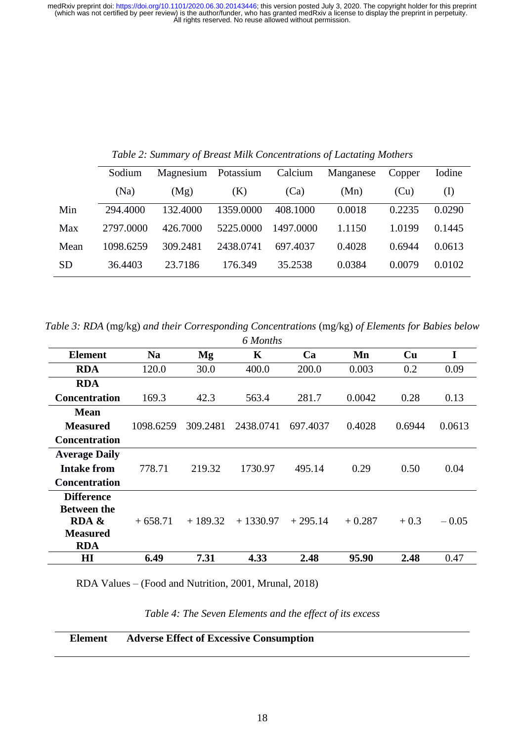|           | Sodium    | Magnesium Potassium |           | Calcium   | Manganese | Copper | Iodine   |
|-----------|-----------|---------------------|-----------|-----------|-----------|--------|----------|
|           | (Na)      | (Mg)                | (K)       | (Ca)      | (Mn)      | (Cu)   | $\rm(L)$ |
| Min       | 294,4000  | 132.4000            | 1359.0000 | 408.1000  | 0.0018    | 0.2235 | 0.0290   |
| Max       | 2797.0000 | 426.7000            | 5225.0000 | 1497.0000 | 1.1150    | 1.0199 | 0.1445   |
| Mean      | 1098.6259 | 309.2481            | 2438.0741 | 697.4037  | 0.4028    | 0.6944 | 0.0613   |
| <b>SD</b> | 36.4403   | 23.7186             | 176.349   | 35.2538   | 0.0384    | 0.0079 | 0.0102   |

*Table 2: Summary of Breast Milk Concentrations of Lactating Mothers*

*Table 3: RDA* (mg/kg) *and their Corresponding Concentrations* (mg/kg) *of Elements for Babies below 6 Months*

|                      |           |           | <u>o montro</u> |           |          |        |         |
|----------------------|-----------|-----------|-----------------|-----------|----------|--------|---------|
| <b>Element</b>       | <b>Na</b> | Mg        | K               | Ca        | Mn       | Cu     | I       |
| <b>RDA</b>           | 120.0     | 30.0      | 400.0           | 200.0     | 0.003    | 0.2    | 0.09    |
| <b>RDA</b>           |           |           |                 |           |          |        |         |
| <b>Concentration</b> | 169.3     | 42.3      | 563.4           | 281.7     | 0.0042   | 0.28   | 0.13    |
| <b>Mean</b>          |           |           |                 |           |          |        |         |
| Measured             | 1098.6259 | 309.2481  | 2438.0741       | 697.4037  | 0.4028   | 0.6944 | 0.0613  |
| <b>Concentration</b> |           |           |                 |           |          |        |         |
| <b>Average Daily</b> |           |           |                 |           |          |        |         |
| <b>Intake from</b>   | 778.71    | 219.32    | 1730.97         | 495.14    | 0.29     | 0.50   | 0.04    |
| <b>Concentration</b> |           |           |                 |           |          |        |         |
| <b>Difference</b>    |           |           |                 |           |          |        |         |
| <b>Between the</b>   |           |           |                 |           |          |        |         |
| RDA &                | $+658.71$ | $+189.32$ | $+1330.97$      | $+295.14$ | $+0.287$ | $+0.3$ | $-0.05$ |
| <b>Measured</b>      |           |           |                 |           |          |        |         |
| <b>RDA</b>           |           |           |                 |           |          |        |         |
| $\mathbf{H}$         | 6.49      | 7.31      | 4.33            | 2.48      | 95.90    | 2.48   | 0.47    |

RDA Values – (Food and Nutrition, 2001, Mrunal, 2018)

*Table 4: The Seven Elements and the effect of its excess* 

|--|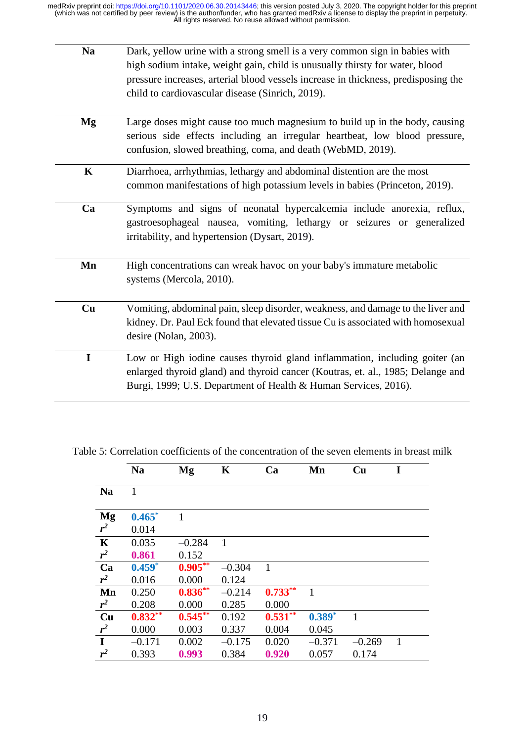| <b>Na</b>   | Dark, yellow urine with a strong smell is a very common sign in babies with<br>high sodium intake, weight gain, child is unusually thirsty for water, blood<br>pressure increases, arterial blood vessels increase in thickness, predisposing the<br>child to cardiovascular disease (Sinrich, 2019). |
|-------------|-------------------------------------------------------------------------------------------------------------------------------------------------------------------------------------------------------------------------------------------------------------------------------------------------------|
| Mg          | Large doses might cause too much magnesium to build up in the body, causing<br>serious side effects including an irregular heartbeat, low blood pressure,<br>confusion, slowed breathing, coma, and death (WebMD, 2019).                                                                              |
| K           | Diarrhoea, arrhythmias, lethargy and abdominal distention are the most<br>common manifestations of high potassium levels in babies (Princeton, 2019).                                                                                                                                                 |
| Ca          | Symptoms and signs of neonatal hypercalcemia include anorexia, reflux,<br>gastroesophageal nausea, vomiting, lethargy or seizures or generalized<br>irritability, and hypertension (Dysart, 2019).                                                                                                    |
| Mn          | High concentrations can wreak havoc on your baby's immature metabolic<br>systems (Mercola, 2010).                                                                                                                                                                                                     |
| Cu          | Vomiting, abdominal pain, sleep disorder, weakness, and damage to the liver and<br>kidney. Dr. Paul Eck found that elevated tissue Cu is associated with homosexual<br>desire (Nolan, 2003).                                                                                                          |
| $\mathbf I$ | Low or High iodine causes thyroid gland inflammation, including goiter (an<br>enlarged thyroid gland) and thyroid cancer (Koutras, et. al., 1985; Delange and<br>Burgi, 1999; U.S. Department of Health & Human Services, 2016).                                                                      |

|                 | <b>Na</b>    | Mg         | $\mathbf K$ | Ca           | Mn       | Cu       | I            |
|-----------------|--------------|------------|-------------|--------------|----------|----------|--------------|
| <b>Na</b>       | $\mathbf{1}$ |            |             |              |          |          |              |
| Mg              | $0.465*$     | 1          |             |              |          |          |              |
| $r^2$           | 0.014        |            |             |              |          |          |              |
| $\mathbf K$     | 0.035        | $-0.284$   | 1           |              |          |          |              |
| $r^2$           | 0.861        | 0.152      |             |              |          |          |              |
| $\overline{Ca}$ | $0.459*$     | $0.905***$ | $-0.304$    | $\mathbf{1}$ |          |          |              |
| $r^2$           | 0.016        | 0.000      | 0.124       |              |          |          |              |
| Mn              | 0.250        | $0.836***$ | $-0.214$    | $0.733***$   | 1        |          |              |
| $r^2$           | 0.208        | 0.000      | 0.285       | 0.000        |          |          |              |
| Cu              | $0.832***$   | $0.545***$ | 0.192       | $0.531***$   | $0.389*$ | 1        |              |
| $r^2$           | 0.000        | 0.003      | 0.337       | 0.004        | 0.045    |          |              |
| $\overline{I}$  | $-0.171$     | 0.002      | $-0.175$    | 0.020        | $-0.371$ | $-0.269$ | $\mathbf{1}$ |
| r <sup>2</sup>  | 0.393        | 0.993      | 0.384       | 0.920        | 0.057    | 0.174    |              |

Table 5: Correlation coefficients of the concentration of the seven elements in breast milk